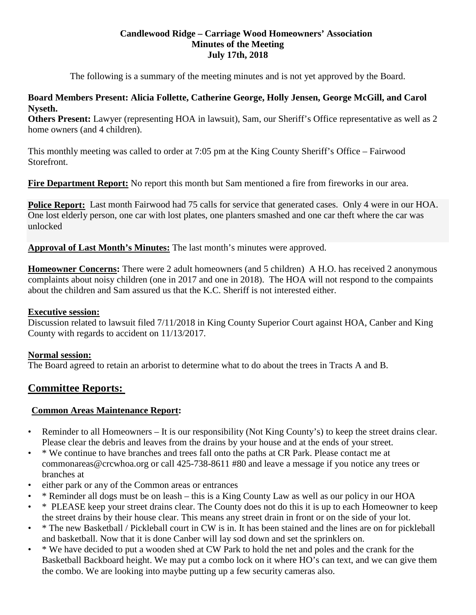## **Candlewood Ridge – Carriage Wood Homeowners' Association Minutes of the Meeting July 17th, 2018**

The following is a summary of the meeting minutes and is not yet approved by the Board.

## **Board Members Present: Alicia Follette, Catherine George, Holly Jensen, George McGill, and Carol Nyseth.**

**Others Present:** Lawyer (representing HOA in lawsuit), Sam, our Sheriff's Office representative as well as 2 home owners (and 4 children).

This monthly meeting was called to order at 7:05 pm at the King County Sheriff's Office – Fairwood Storefront.

**Fire Department Report:** No report this month but Sam mentioned a fire from fireworks in our area.

**Police Report:** Last month Fairwood had 75 calls for service that generated cases. Only 4 were in our HOA. One lost elderly person, one car with lost plates, one planters smashed and one car theft where the car was unlocked

**Approval of Last Month's Minutes:** The last month's minutes were approved.

**Homeowner Concerns:** There were 2 adult homeowners (and 5 children) A H.O. has received 2 anonymous complaints about noisy children (one in 2017 and one in 2018). The HOA will not respond to the compaints about the children and Sam assured us that the K.C. Sheriff is not interested either.

## **Executive session:**

Discussion related to lawsuit filed 7/11/2018 in King County Superior Court against HOA, Canber and King County with regards to accident on 11/13/2017.

## **Normal session:**

The Board agreed to retain an arborist to determine what to do about the trees in Tracts A and B.

# **Committee Reports:**

## **Common Areas Maintenance Report:**

- Reminder to all Homeowners It is our responsibility (Not King County's) to keep the street drains clear. Please clear the debris and leaves from the drains by your house and at the ends of your street.
- \* We continue to have branches and trees fall onto the paths at CR Park. Please contact me at commonareas@crcwhoa.org or call 425-738-8611 #80 and leave a message if you notice any trees or branches at
- either park or any of the Common areas or entrances
- \* Reminder all dogs must be on leash this is a King County Law as well as our policy in our HOA
- \* PLEASE keep your street drains clear. The County does not do this it is up to each Homeowner to keep the street drains by their house clear. This means any street drain in front or on the side of your lot.
- \* The new Basketball / Pickleball court in CW is in. It has been stained and the lines are on for pickleball and basketball. Now that it is done Canber will lay sod down and set the sprinklers on.
- \* We have decided to put a wooden shed at CW Park to hold the net and poles and the crank for the Basketball Backboard height. We may put a combo lock on it where HO's can text, and we can give them the combo. We are looking into maybe putting up a few security cameras also.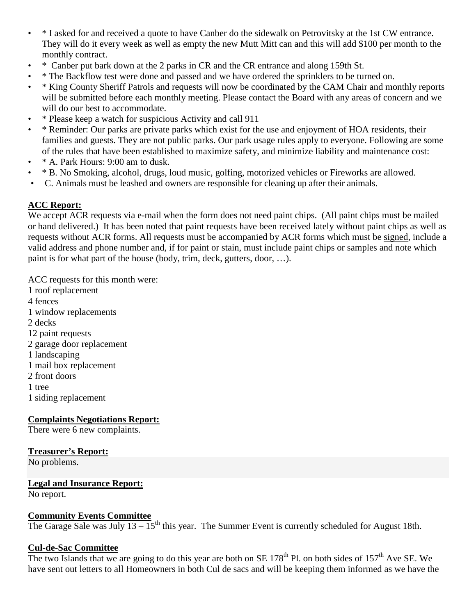- \* I asked for and received a quote to have Canber do the sidewalk on Petrovitsky at the 1st CW entrance. They will do it every week as well as empty the new Mutt Mitt can and this will add \$100 per month to the monthly contract.
- \* Canber put bark down at the 2 parks in CR and the CR entrance and along 159th St.
- \* The Backflow test were done and passed and we have ordered the sprinklers to be turned on.
- \* King County Sheriff Patrols and requests will now be coordinated by the CAM Chair and monthly reports will be submitted before each monthly meeting. Please contact the Board with any areas of concern and we will do our best to accommodate.
- \* Please keep a watch for suspicious Activity and call 911
- \* Reminder: Our parks are private parks which exist for the use and enjoyment of HOA residents, their families and guests. They are not public parks. Our park usage rules apply to everyone. Following are some of the rules that have been established to maximize safety, and minimize liability and maintenance cost:
- \* A. Park Hours: 9:00 am to dusk.
- \* B. No Smoking, alcohol, drugs, loud music, golfing, motorized vehicles or Fireworks are allowed.
- C. Animals must be leashed and owners are responsible for cleaning up after their animals.

## **ACC Report:**

We accept ACR requests via e-mail when the form does not need paint chips. (All paint chips must be mailed or hand delivered.) It has been noted that paint requests have been received lately without paint chips as well as requests without ACR forms. All requests must be accompanied by ACR forms which must be signed, include a valid address and phone number and, if for paint or stain, must include paint chips or samples and note which paint is for what part of the house (body, trim, deck, gutters, door, …).

ACC requests for this month were: 1 roof replacement 4 fences 1 window replacements 2 decks 12 paint requests 2 garage door replacement 1 landscaping 1 mail box replacement 2 front doors 1 tree 1 siding replacement

## **Complaints Negotiations Report:**

There were 6 new complaints.

#### **Treasurer's Report:**

No problems.

#### **Legal and Insurance Report:**

No report.

#### **Community Events Committee**

The Garage Sale was July  $13 - 15<sup>th</sup>$  this year. The Summer Event is currently scheduled for August 18th.

#### **Cul-de-Sac Committee**

The two Islands that we are going to do this year are both on SE  $178<sup>th</sup>$  Pl. on both sides of  $157<sup>th</sup>$  Ave SE. We have sent out letters to all Homeowners in both Cul de sacs and will be keeping them informed as we have the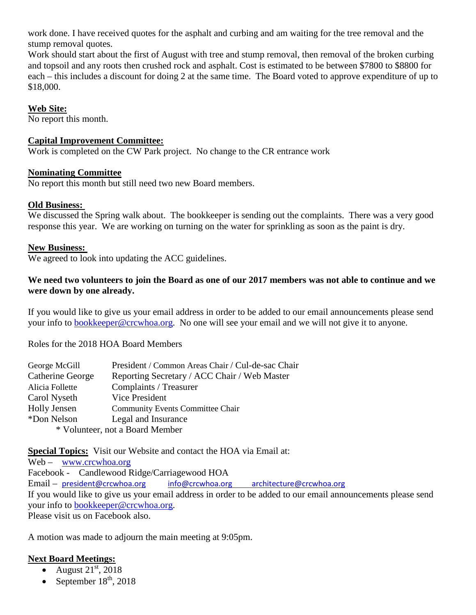work done. I have received quotes for the asphalt and curbing and am waiting for the tree removal and the stump removal quotes.

Work should start about the first of August with tree and stump removal, then removal of the broken curbing and topsoil and any roots then crushed rock and asphalt. Cost is estimated to be between \$7800 to \$8800 for each – this includes a discount for doing 2 at the same time. The Board voted to approve expenditure of up to \$18,000.

## **Web Site:**

No report this month.

## **Capital Improvement Committee:**

Work is completed on the CW Park project. No change to the CR entrance work

## **Nominating Committee**

No report this month but still need two new Board members.

## **Old Business:**

We discussed the Spring walk about. The bookkeeper is sending out the complaints. There was a very good response this year. We are working on turning on the water for sprinkling as soon as the paint is dry.

## **New Business:**

We agreed to look into updating the ACC guidelines.

## **We need two volunteers to join the Board as one of our 2017 members was not able to continue and we were down by one already.**

If you would like to give us your email address in order to be added to our email announcements please send your info to [bookkeeper@crcwhoa.org.](mailto:bookkeeper@crcwhoa.org) No one will see your email and we will not give it to anyone.

Roles for the 2018 HOA Board Members

| George McGill                   | President / Common Areas Chair / Cul-de-sac Chair |
|---------------------------------|---------------------------------------------------|
| Catherine George                | Reporting Secretary / ACC Chair / Web Master      |
| Alicia Follette                 | Complaints / Treasurer                            |
| Carol Nyseth                    | Vice President                                    |
| Holly Jensen                    | <b>Community Events Committee Chair</b>           |
| *Don Nelson                     | Legal and Insurance                               |
| * Volunteer, not a Board Member |                                                   |

**Special Topics:** Visit our Website and contact the HOA via Email at:

Web – [www.crcwhoa.org](http://www.crcwhoa.org/) Facebook - Candlewood Ridge/Carriagewood HOA Email – [president@crcwhoa.org](mailto:president@crcwhoa.org) [info@crcwhoa.org](mailto:info@crcwhoa.org) [architecture@crcwhoa.org](mailto:architecture@crcwhoa.org) If you would like to give us your email address in order to be added to our email announcements please send your info to [bookkeeper@crcwhoa.org.](mailto:bookkeeper@crcwhoa.org)

Please visit us on Facebook also.

A motion was made to adjourn the main meeting at 9:05pm.

## **Next Board Meetings:**

- August  $21<sup>st</sup>$ ,  $2018$
- September  $18<sup>th</sup>$ , 2018